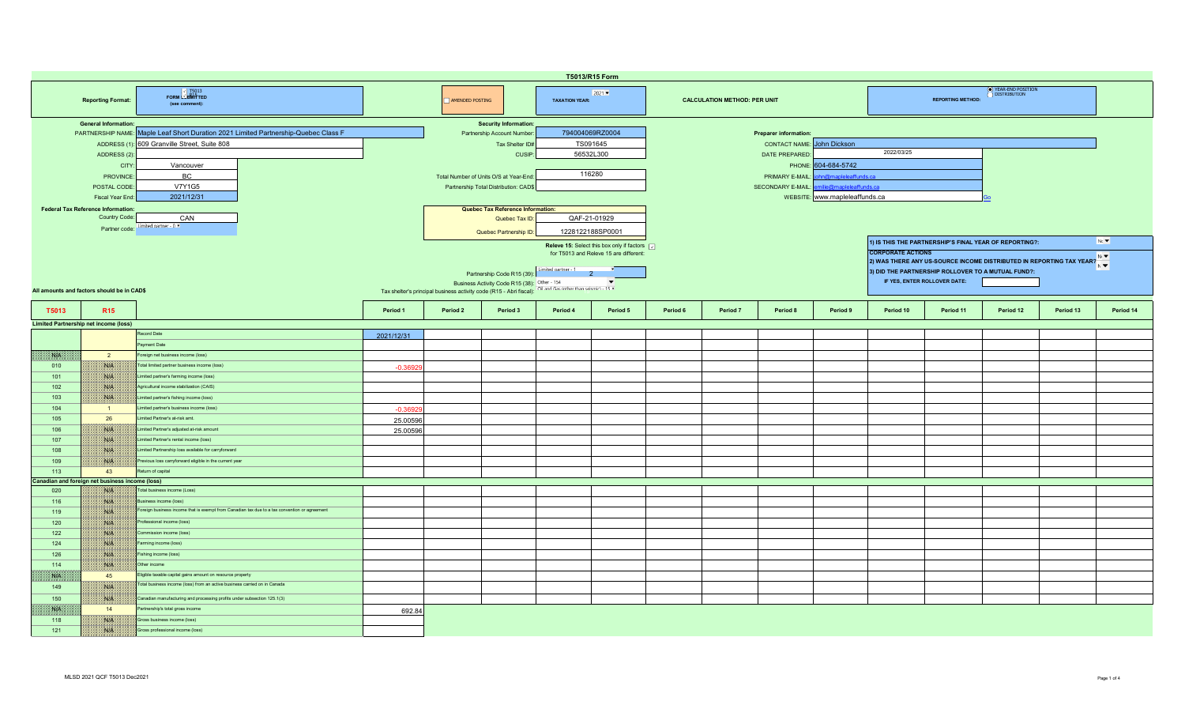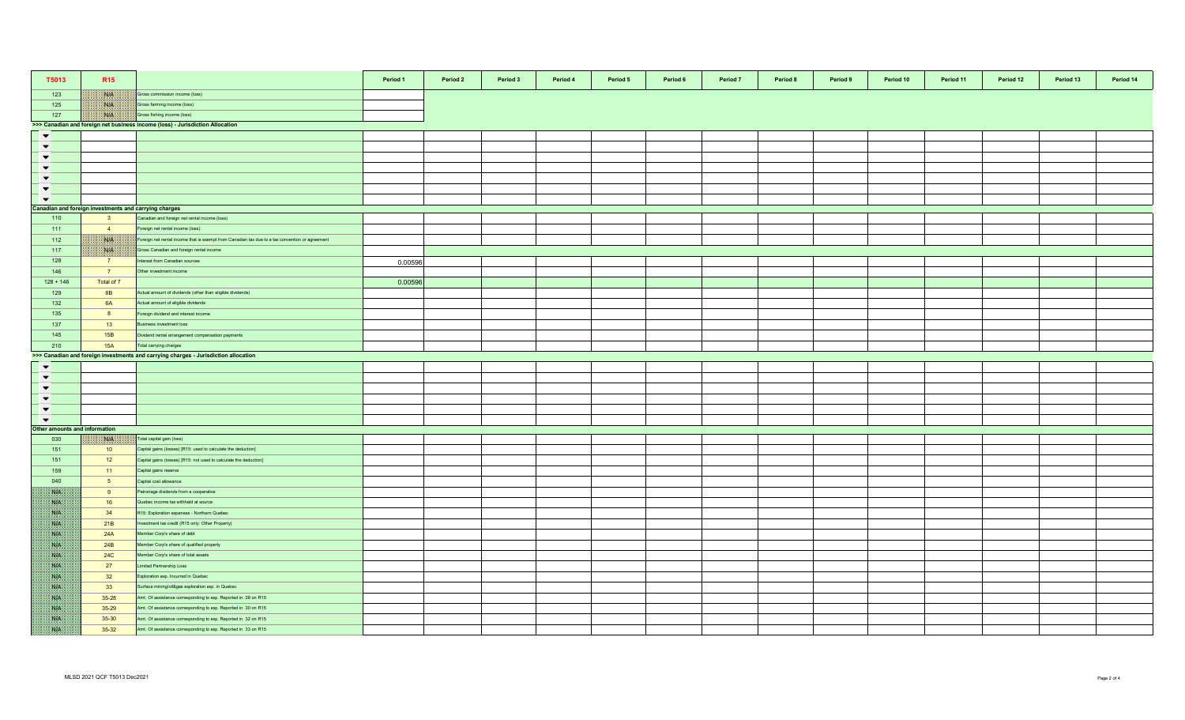| T5013                        | <b>R15</b>                                                                    |                                                                                                 | Period 1 | Period 2 | Period 3 | Period 4 | Period 5 | Period 6 | Period 7 | Period 8 | Period 9 | Period 10 | Period 11 | Period 12 | Period 13 | Period 14 |
|------------------------------|-------------------------------------------------------------------------------|-------------------------------------------------------------------------------------------------|----------|----------|----------|----------|----------|----------|----------|----------|----------|-----------|-----------|-----------|-----------|-----------|
| 123                          | <b>NGEN</b>                                                                   | Gross commission income (loss)                                                                  |          |          |          |          |          |          |          |          |          |           |           |           |           |           |
| 125                          | 1808.                                                                         | Gross farming income (loss)                                                                     |          |          |          |          |          |          |          |          |          |           |           |           |           |           |
| 127                          | NIA                                                                           | Gross fishing income (loss)                                                                     |          |          |          |          |          |          |          |          |          |           |           |           |           |           |
|                              | >>> Canadian and foreign net business income (loss) - Jurisdiction Allocation |                                                                                                 |          |          |          |          |          |          |          |          |          |           |           |           |           |           |
| $\blacktriangledown$         |                                                                               |                                                                                                 |          |          |          |          |          |          |          |          |          |           |           |           |           |           |
| $\blacktriangledown$         |                                                                               |                                                                                                 |          |          |          |          |          |          |          |          |          |           |           |           |           |           |
| $\blacktriangledown$         |                                                                               |                                                                                                 |          |          |          |          |          |          |          |          |          |           |           |           |           |           |
| $\blacktriangledown$         |                                                                               |                                                                                                 |          |          |          |          |          |          |          |          |          |           |           |           |           |           |
| $\blacktriangledown$         |                                                                               |                                                                                                 |          |          |          |          |          |          |          |          |          |           |           |           |           |           |
| $\blacktriangledown$         |                                                                               |                                                                                                 |          |          |          |          |          |          |          |          |          |           |           |           |           |           |
| $\blacktriangledown$         |                                                                               |                                                                                                 |          |          |          |          |          |          |          |          |          |           |           |           |           |           |
|                              | Canadian and foreign investments and carrying charges                         |                                                                                                 |          |          |          |          |          |          |          |          |          |           |           |           |           |           |
| 110                          | 3 <sup>2</sup>                                                                | Canadian and foreign net rental income (loss)                                                   |          |          |          |          |          |          |          |          |          |           |           |           |           |           |
| 111                          | $\overline{4}$                                                                | oreign net rental income (loss)                                                                 |          |          |          |          |          |          |          |          |          |           |           |           |           |           |
| 112                          | NB                                                                            | Foreign net rental income that is exempt from Canadian tax due to a tax convention or agreement |          |          |          |          |          |          |          |          |          |           |           |           |           |           |
| 117                          | ma.                                                                           | Gross Canadian and foreign rental income                                                        |          |          |          |          |          |          |          |          |          |           |           |           |           |           |
|                              |                                                                               |                                                                                                 |          |          |          |          |          |          |          |          |          |           |           |           |           |           |
| 128                          | 7                                                                             | nterest from Canadian sources                                                                   | 0.00596  |          |          |          |          |          |          |          |          |           |           |           |           |           |
| 146                          | $\overline{7}$                                                                | Other investment income                                                                         |          |          |          |          |          |          |          |          |          |           |           |           |           |           |
| $128 + 146$                  | Total of 7                                                                    |                                                                                                 | 0.00596  |          |          |          |          |          |          |          |          |           |           |           |           |           |
| 129                          | 6B                                                                            | Actual amount of dividends (other than eligible dividends)                                      |          |          |          |          |          |          |          |          |          |           |           |           |           |           |
| 132                          | 6A                                                                            | Actual amount of eligible dividends                                                             |          |          |          |          |          |          |          |          |          |           |           |           |           |           |
| 135                          | 8                                                                             | oreign dividend and interest income                                                             |          |          |          |          |          |          |          |          |          |           |           |           |           |           |
| 137                          | 13                                                                            | Business investment loss                                                                        |          |          |          |          |          |          |          |          |          |           |           |           |           |           |
| 145                          | 15B                                                                           | Dividend rental arrangement compensation payments                                               |          |          |          |          |          |          |          |          |          |           |           |           |           |           |
| 210                          | 15A                                                                           | Total carrying charges                                                                          |          |          |          |          |          |          |          |          |          |           |           |           |           |           |
|                              |                                                                               | >>> Canadian and foreign investments and carrying charges - Jurisdiction allocation             |          |          |          |          |          |          |          |          |          |           |           |           |           |           |
| $\blacktriangledown$         |                                                                               |                                                                                                 |          |          |          |          |          |          |          |          |          |           |           |           |           |           |
| $\blacktriangledown$         |                                                                               |                                                                                                 |          |          |          |          |          |          |          |          |          |           |           |           |           |           |
| $\blacktriangledown$         |                                                                               |                                                                                                 |          |          |          |          |          |          |          |          |          |           |           |           |           |           |
| $\blacktriangledown$         |                                                                               |                                                                                                 |          |          |          |          |          |          |          |          |          |           |           |           |           |           |
| $\blacktriangledown$         |                                                                               |                                                                                                 |          |          |          |          |          |          |          |          |          |           |           |           |           |           |
| $\blacktriangledown$         |                                                                               |                                                                                                 |          |          |          |          |          |          |          |          |          |           |           |           |           |           |
| ther amounts and information |                                                                               |                                                                                                 |          |          |          |          |          |          |          |          |          |           |           |           |           |           |
| 030                          | XVIX.                                                                         | Total capital gain (loss)                                                                       |          |          |          |          |          |          |          |          |          |           |           |           |           |           |
| 151                          | 10                                                                            | Capital gains (losses) [R15: used to calculate the deduction]                                   |          |          |          |          |          |          |          |          |          |           |           |           |           |           |
| 151                          | 12                                                                            | Capital gains (losses) [R15: not used to calculate the deduction]                               |          |          |          |          |          |          |          |          |          |           |           |           |           |           |
| 159                          | 11                                                                            | Capital gains reserve                                                                           |          |          |          |          |          |          |          |          |          |           |           |           |           |           |
| 040                          | 5 <sub>5</sub>                                                                | Capital cost allowance                                                                          |          |          |          |          |          |          |          |          |          |           |           |           |           |           |
| SVN.                         | 9                                                                             | atronage dividends from a cooperative                                                           |          |          |          |          |          |          |          |          |          |           |           |           |           |           |
| SSB.                         | 16                                                                            | Quebec income tax withheld at source                                                            |          |          |          |          |          |          |          |          |          |           |           |           |           |           |
| ma                           | 34                                                                            | R15: Exploration expenses - Northern Quebec                                                     |          |          |          |          |          |          |          |          |          |           |           |           |           |           |
| 38.14                        | 21B                                                                           | nvestment tax credit (R15 only: Other Property)                                                 |          |          |          |          |          |          |          |          |          |           |           |           |           |           |
| <b>SAFE</b>                  | 24A                                                                           | Member Corp's share of debt                                                                     |          |          |          |          |          |          |          |          |          |           |           |           |           |           |
| S.B                          | 24B                                                                           |                                                                                                 |          |          |          |          |          |          |          |          |          |           |           |           |           |           |
|                              |                                                                               | Member Corp's share of qualified property                                                       |          |          |          |          |          |          |          |          |          |           |           |           |           |           |
| <b>SALE</b>                  | <b>24C</b>                                                                    | Member Corp's share of total assets                                                             |          |          |          |          |          |          |          |          |          |           |           |           |           |           |
| <b>Site</b>                  | 27                                                                            | imited Partnership Loss                                                                         |          |          |          |          |          |          |          |          |          |           |           |           |           |           |
| SVN.                         | 32                                                                            | Exploration exp. Incurred in Quebec                                                             |          |          |          |          |          |          |          |          |          |           |           |           |           |           |
| NP.                          | 33                                                                            | Surface mining/oil&gas exploration exp. in Quebec                                               |          |          |          |          |          |          |          |          |          |           |           |           |           |           |
| NB.                          | $35 - 28$                                                                     | Amt. Of assistance corresponding to exp. Reported in 28 on R15                                  |          |          |          |          |          |          |          |          |          |           |           |           |           |           |
| Nik                          | 35-29                                                                         | Amt. Of assistance corresponding to exp. Reported in 30 on R15                                  |          |          |          |          |          |          |          |          |          |           |           |           |           |           |
| ma                           | 35-30                                                                         | Amt. Of assistance corresponding to exp. Reported in 32 on R15                                  |          |          |          |          |          |          |          |          |          |           |           |           |           |           |
| SS                           | 35-32                                                                         | Amt. Of assistance corresponding to exp. Reported in 33 on R15                                  |          |          |          |          |          |          |          |          |          |           |           |           |           |           |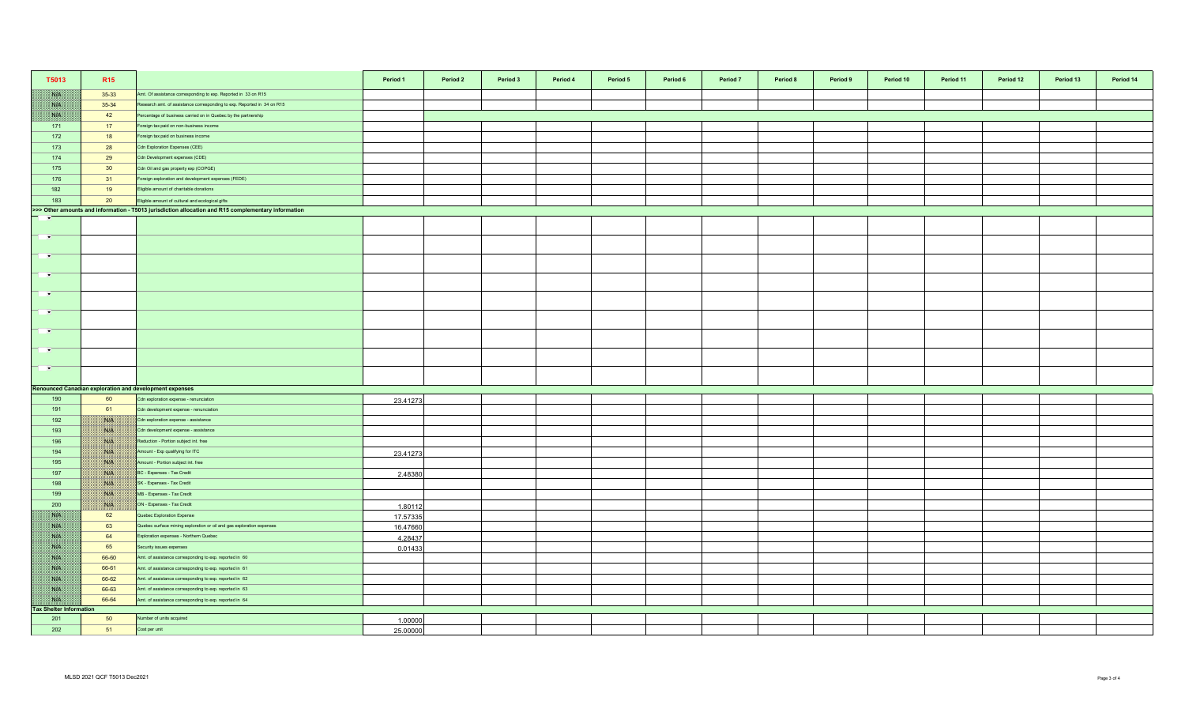| T5013                          | R <sub>15</sub> |                                                                                                     | Period 1 | Period 2 | Period 3 | Period 4 | Period 5 | Period 6 | Period 7 | Period 8 | Period 9 | Period 10 | Period 11 | Period 12 | Period 13 | Period 14 |
|--------------------------------|-----------------|-----------------------------------------------------------------------------------------------------|----------|----------|----------|----------|----------|----------|----------|----------|----------|-----------|-----------|-----------|-----------|-----------|
| NK                             | $35-33$         | Amt. Of assistance corresponding to exp. Reported in 33 on R15                                      |          |          |          |          |          |          |          |          |          |           |           |           |           |           |
| WK                             | 35-34           | Research amt. of assistance corresponding to exp. Reported in 34 on R15                             |          |          |          |          |          |          |          |          |          |           |           |           |           |           |
| NB                             | 42              | Percentage of business carried on in Quebec by the partnership                                      |          |          |          |          |          |          |          |          |          |           |           |           |           |           |
| 171                            | 17              | Foreign tax paid on non-business income                                                             |          |          |          |          |          |          |          |          |          |           |           |           |           |           |
| 172                            | 18              | Foreign tax paid on business income                                                                 |          |          |          |          |          |          |          |          |          |           |           |           |           |           |
| 173                            | 28              | Cdn Exploration Expenses (CEE)                                                                      |          |          |          |          |          |          |          |          |          |           |           |           |           |           |
| 174                            | 29              | Cdn Development expenses (CDE)                                                                      |          |          |          |          |          |          |          |          |          |           |           |           |           |           |
| 175                            | 30 <sup>°</sup> | Cdn Oil and gas property exp (COPGE)                                                                |          |          |          |          |          |          |          |          |          |           |           |           |           |           |
| 176                            | 31              | Foreign exploration and development expenses (FEDE)                                                 |          |          |          |          |          |          |          |          |          |           |           |           |           |           |
| 182                            | 19              | Eligible amount of charitable donations                                                             |          |          |          |          |          |          |          |          |          |           |           |           |           |           |
| 183                            | 20              | Eligible amount of cultural and ecological gifts                                                    |          |          |          |          |          |          |          |          |          |           |           |           |           |           |
|                                |                 | >>> Other amounts and information - T5013 jurisdiction allocation and R15 complementary information |          |          |          |          |          |          |          |          |          |           |           |           |           |           |
| <b>F</b>                       |                 |                                                                                                     |          |          |          |          |          |          |          |          |          |           |           |           |           |           |
|                                |                 |                                                                                                     |          |          |          |          |          |          |          |          |          |           |           |           |           |           |
| <b>TIME</b>                    |                 |                                                                                                     |          |          |          |          |          |          |          |          |          |           |           |           |           |           |
| $\sim$                         |                 |                                                                                                     |          |          |          |          |          |          |          |          |          |           |           |           |           |           |
|                                |                 |                                                                                                     |          |          |          |          |          |          |          |          |          |           |           |           |           |           |
| $\blacksquare$                 |                 |                                                                                                     |          |          |          |          |          |          |          |          |          |           |           |           |           |           |
|                                |                 |                                                                                                     |          |          |          |          |          |          |          |          |          |           |           |           |           |           |
| $\mathbf{r}$                   |                 |                                                                                                     |          |          |          |          |          |          |          |          |          |           |           |           |           |           |
| <b>P</b>                       |                 |                                                                                                     |          |          |          |          |          |          |          |          |          |           |           |           |           |           |
|                                |                 |                                                                                                     |          |          |          |          |          |          |          |          |          |           |           |           |           |           |
| $\rightarrow$                  |                 |                                                                                                     |          |          |          |          |          |          |          |          |          |           |           |           |           |           |
| $\sim$                         |                 |                                                                                                     |          |          |          |          |          |          |          |          |          |           |           |           |           |           |
| $\overline{\phantom{a}}$       |                 |                                                                                                     |          |          |          |          |          |          |          |          |          |           |           |           |           |           |
|                                |                 |                                                                                                     |          |          |          |          |          |          |          |          |          |           |           |           |           |           |
|                                |                 | <b>Renounced Canadian exploration and development expenses</b>                                      |          |          |          |          |          |          |          |          |          |           |           |           |           |           |
| 190                            | 60              | Cdn exploration expense - renunciation                                                              | 23.41273 |          |          |          |          |          |          |          |          |           |           |           |           |           |
| 191                            | 61              | Cdn development expense - renunciation                                                              |          |          |          |          |          |          |          |          |          |           |           |           |           |           |
| 192                            | BUS.            | Cdn exploration expense - assistance                                                                |          |          |          |          |          |          |          |          |          |           |           |           |           |           |
| 193                            | NB              | Cdn development expense - assistance                                                                |          |          |          |          |          |          |          |          |          |           |           |           |           |           |
| 196                            | <b>NIK</b>      | Reduction - Portion subject int. free                                                               |          |          |          |          |          |          |          |          |          |           |           |           |           |           |
| 194                            | W               | Amount - Exp qualifying for ITC                                                                     | 23.41273 |          |          |          |          |          |          |          |          |           |           |           |           |           |
| 195                            | WIN             | Amount - Portion subject int. free                                                                  |          |          |          |          |          |          |          |          |          |           |           |           |           |           |
| 197                            | ma              | BC - Expenses - Tax Credit                                                                          | 2.48380  |          |          |          |          |          |          |          |          |           |           |           |           |           |
| 198                            | NA              | SK - Expenses - Tax Credit                                                                          |          |          |          |          |          |          |          |          |          |           |           |           |           |           |
| 199                            | <b>NOTE</b>     | MB - Expenses - Tax Credit                                                                          |          |          |          |          |          |          |          |          |          |           |           |           |           |           |
| 200                            | <b>ISLA</b>     | ON - Expenses - Tax Credit                                                                          | 1.80112  |          |          |          |          |          |          |          |          |           |           |           |           |           |
| NB                             | 62              | Quebec Exploration Expense                                                                          | 17.57335 |          |          |          |          |          |          |          |          |           |           |           |           |           |
| NK                             | 63              | Quebec surface mining exploration or oil and gas exploration expenses                               | 16.47660 |          |          |          |          |          |          |          |          |           |           |           |           |           |
| <b>SATIS</b>                   | 64              | Exploration expenses - Northern Quebec                                                              | 4.28437  |          |          |          |          |          |          |          |          |           |           |           |           |           |
| <b>SALE</b>                    | 65              | Security issues expenses                                                                            | 0.01433  |          |          |          |          |          |          |          |          |           |           |           |           |           |
| <b>NATION</b>                  | 66-60           | Amt. of assistance corresponding to exp. reported in 60                                             |          |          |          |          |          |          |          |          |          |           |           |           |           |           |
| <b>SYLVEN</b>                  | 66-61           | Amt. of assistance corresponding to exp. reported in 61                                             |          |          |          |          |          |          |          |          |          |           |           |           |           |           |
| NK                             | 66-62           | Amt. of assistance corresponding to exp. reported in 62                                             |          |          |          |          |          |          |          |          |          |           |           |           |           |           |
| NB                             | 66-63           | Amt. of assistance corresponding to exp. reported in 63                                             |          |          |          |          |          |          |          |          |          |           |           |           |           |           |
| WH                             | 66-64           | Amt. of assistance corresponding to exp. reported in 64                                             |          |          |          |          |          |          |          |          |          |           |           |           |           |           |
| <b>Tax Shelter Information</b> |                 |                                                                                                     |          |          |          |          |          |          |          |          |          |           |           |           |           |           |
| 201                            | 50<br>51        | Number of units acquired                                                                            | 1.00000  |          |          |          |          |          |          |          |          |           |           |           |           |           |
| 202                            |                 | Cost per unit                                                                                       | 25.00000 |          |          |          |          |          |          |          |          |           |           |           |           |           |